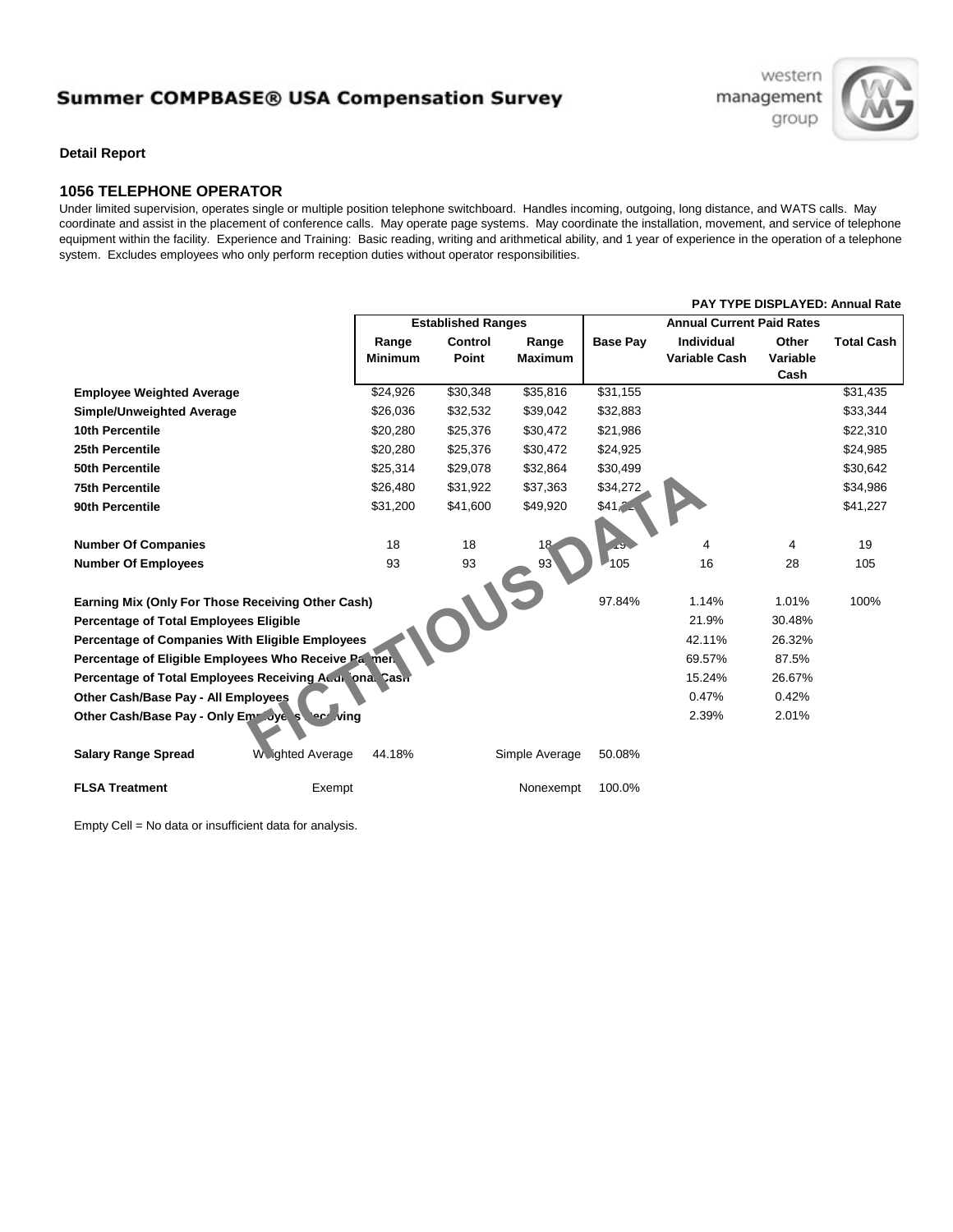## **Summer COMPBASE® USA Compensation Survey**

western management group



**Detail Report**

## **1056 TELEPHONE OPERATOR**

Under limited supervision, operates single or multiple position telephone switchboard. Handles incoming, outgoing, long distance, and WATS calls. May coordinate and assist in the placement of conference calls. May operate page systems. May coordinate the installation, movement, and service of telephone equipment within the facility. Experience and Training: Basic reading, writing and arithmetical ability, and 1 year of experience in the operation of a telephone system. Excludes employees who only perform reception duties without operator responsibilities.

|                                                           |                         |                           |                |                |                 | PAT TTPE DISPLATED: Annual Rate  |          |                   |  |
|-----------------------------------------------------------|-------------------------|---------------------------|----------------|----------------|-----------------|----------------------------------|----------|-------------------|--|
|                                                           |                         | <b>Established Ranges</b> |                |                |                 | <b>Annual Current Paid Rates</b> |          |                   |  |
|                                                           |                         | Range                     | <b>Control</b> | Range          | <b>Base Pay</b> | <b>Individual</b>                | Other    | <b>Total Cash</b> |  |
|                                                           |                         | <b>Minimum</b>            | Point          | <b>Maximum</b> |                 | <b>Variable Cash</b>             | Variable |                   |  |
|                                                           |                         |                           |                |                |                 |                                  | Cash     |                   |  |
| <b>Employee Weighted Average</b>                          |                         | \$24,926                  | \$30,348       | \$35,816       | \$31,155        |                                  |          | \$31,435          |  |
| Simple/Unweighted Average                                 |                         | \$26,036                  | \$32,532       | \$39,042       | \$32,883        |                                  |          | \$33,344          |  |
| 10th Percentile                                           |                         | \$20,280                  | \$25,376       | \$30,472       | \$21,986        |                                  |          | \$22,310          |  |
| 25th Percentile                                           |                         | \$20,280                  | \$25,376       | \$30,472       | \$24,925        |                                  |          | \$24,985          |  |
| 50th Percentile                                           |                         | \$25,314                  | \$29,078       | \$32,864       | \$30,499        |                                  |          | \$30,642          |  |
| <b>75th Percentile</b>                                    |                         | \$26,480                  | \$31,922       | \$37,363       | \$34,272        |                                  |          | \$34,986          |  |
| 90th Percentile                                           |                         | \$31,200                  | \$41,600       | \$49,920       | \$41.2          |                                  |          | \$41,227          |  |
|                                                           |                         |                           |                |                |                 |                                  |          |                   |  |
| <b>Number Of Companies</b>                                |                         | 18                        | 18             |                |                 | 4                                | 4        | 19                |  |
| <b>Number Of Employees</b>                                |                         | 93                        | 93             | 93'            | 105             | 16                               | 28       | 105               |  |
|                                                           |                         |                           |                |                |                 |                                  |          |                   |  |
| Earning Mix (Only For Those Receiving Other Cash)         |                         |                           |                |                | 97.84%          | 1.14%                            | 1.01%    | 100%              |  |
| <b>Percentage of Total Employees Eligible</b>             |                         |                           |                |                |                 | 21.9%                            | 30.48%   |                   |  |
| $\Box$<br>Percentage of Companies With Eligible Employees |                         |                           |                |                |                 | 42.11%                           | 26.32%   |                   |  |
| Percentage of Eligible Employees Who Receive Pa men.      |                         |                           |                |                |                 | 69.57%                           | 87.5%    |                   |  |
| Percentage of Total Employees Receiving Ac.a. ona. Cash   |                         |                           |                |                |                 | 15.24%                           | 26.67%   |                   |  |
| Other Cash/Base Pay - All Employees                       |                         |                           |                |                |                 | 0.47%                            | 0.42%    |                   |  |
| Other Cash/Base Pay - Only Emr Jye street ving            |                         |                           |                |                |                 | 2.39%                            | 2.01%    |                   |  |
|                                                           |                         |                           |                |                |                 |                                  |          |                   |  |
| <b>Salary Range Spread</b>                                | <b>W</b> Jahted Average | 44.18%                    |                | Simple Average | 50.08%          |                                  |          |                   |  |
|                                                           |                         |                           |                |                |                 |                                  |          |                   |  |
| <b>FLSA Treatment</b>                                     | Exempt                  |                           |                | Nonexempt      | 100.0%          |                                  |          |                   |  |
|                                                           |                         |                           |                |                |                 |                                  |          |                   |  |

Empty Cell = No data or insufficient data for analysis.

## **PAY TYPE DISPLAYED: Annual Rate**